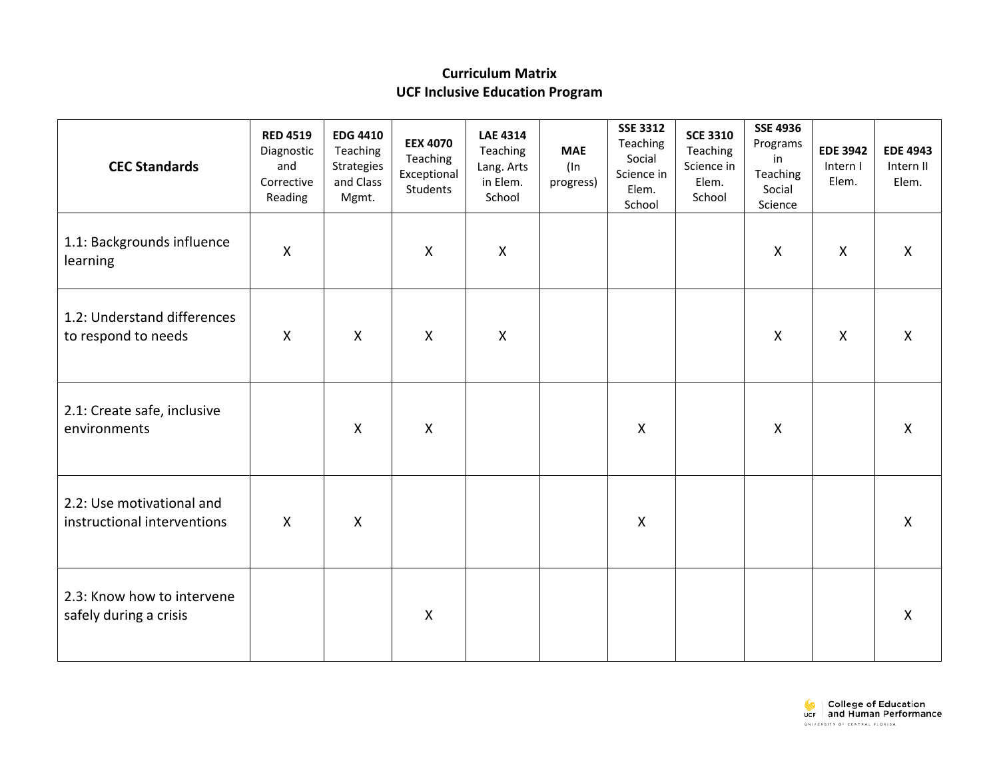## **Curriculum Matrix UCF Inclusive Education Program**

| <b>CEC Standards</b>                                     | <b>RED 4519</b><br>Diagnostic<br>and<br>Corrective<br>Reading | <b>EDG 4410</b><br>Teaching<br>Strategies<br>and Class<br>Mgmt. | <b>EEX 4070</b><br>Teaching<br>Exceptional<br>Students | <b>LAE 4314</b><br>Teaching<br>Lang. Arts<br>in Elem.<br>School | <b>MAE</b><br>$($ ln<br>progress) | <b>SSE 3312</b><br>Teaching<br>Social<br>Science in<br>Elem.<br>School | <b>SCE 3310</b><br>Teaching<br>Science in<br>Elem.<br>School | <b>SSE 4936</b><br>Programs<br>in<br>Teaching<br>Social<br>Science | <b>EDE 3942</b><br>Intern I<br>Elem. | <b>EDE 4943</b><br>Intern II<br>Elem. |
|----------------------------------------------------------|---------------------------------------------------------------|-----------------------------------------------------------------|--------------------------------------------------------|-----------------------------------------------------------------|-----------------------------------|------------------------------------------------------------------------|--------------------------------------------------------------|--------------------------------------------------------------------|--------------------------------------|---------------------------------------|
| 1.1: Backgrounds influence<br>learning                   | $\pmb{\mathsf{X}}$                                            |                                                                 | $\boldsymbol{X}$                                       | $\boldsymbol{\mathsf{X}}$                                       |                                   |                                                                        |                                                              | $\boldsymbol{\mathsf{X}}$                                          | $\boldsymbol{\mathsf{X}}$            | $\boldsymbol{\mathsf{X}}$             |
| 1.2: Understand differences<br>to respond to needs       | $\boldsymbol{\mathsf{X}}$                                     | $\mathsf{X}$                                                    | $\mathsf{X}$                                           | $\boldsymbol{\mathsf{X}}$                                       |                                   |                                                                        |                                                              | $\boldsymbol{\mathsf{X}}$                                          | $\boldsymbol{\mathsf{X}}$            | $\boldsymbol{X}$                      |
| 2.1: Create safe, inclusive<br>environments              |                                                               | $\mathsf{X}$                                                    | $\mathsf{X}$                                           |                                                                 |                                   | $\boldsymbol{X}$                                                       |                                                              | $\boldsymbol{\mathsf{X}}$                                          |                                      | $\boldsymbol{\mathsf{X}}$             |
| 2.2: Use motivational and<br>instructional interventions | $\boldsymbol{\mathsf{X}}$                                     | $\mathsf{X}$                                                    |                                                        |                                                                 |                                   | $\boldsymbol{\mathsf{X}}$                                              |                                                              |                                                                    |                                      | $\boldsymbol{\mathsf{X}}$             |
| 2.3: Know how to intervene<br>safely during a crisis     |                                                               |                                                                 | $\boldsymbol{X}$                                       |                                                                 |                                   |                                                                        |                                                              |                                                                    |                                      | $\boldsymbol{\mathsf{X}}$             |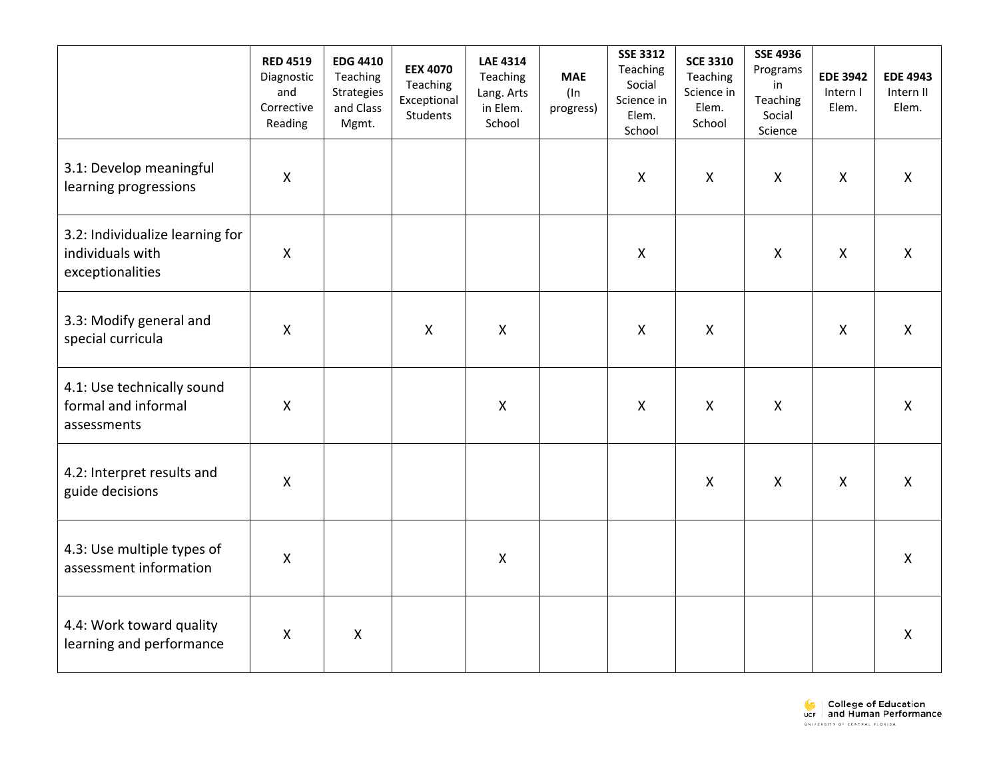|                                                                         | <b>RED 4519</b><br>Diagnostic<br>and<br>Corrective<br>Reading | <b>EDG 4410</b><br>Teaching<br>Strategies<br>and Class<br>Mgmt. | <b>EEX 4070</b><br>Teaching<br>Exceptional<br>Students | <b>LAE 4314</b><br>Teaching<br>Lang. Arts<br>in Elem.<br>School | <b>MAE</b><br>$($ ln<br>progress) | <b>SSE 3312</b><br>Teaching<br>Social<br>Science in<br>Elem.<br>School | <b>SCE 3310</b><br>Teaching<br>Science in<br>Elem.<br>School | <b>SSE 4936</b><br>Programs<br>in<br>Teaching<br>Social<br>Science | <b>EDE 3942</b><br>Intern I<br>Elem. | <b>EDE 4943</b><br>Intern II<br>Elem. |
|-------------------------------------------------------------------------|---------------------------------------------------------------|-----------------------------------------------------------------|--------------------------------------------------------|-----------------------------------------------------------------|-----------------------------------|------------------------------------------------------------------------|--------------------------------------------------------------|--------------------------------------------------------------------|--------------------------------------|---------------------------------------|
| 3.1: Develop meaningful<br>learning progressions                        | Χ                                                             |                                                                 |                                                        |                                                                 |                                   | $\mathsf{X}$                                                           | X                                                            | $\mathsf{X}$                                                       | $\mathsf{X}$                         | $\boldsymbol{\mathsf{X}}$             |
| 3.2: Individualize learning for<br>individuals with<br>exceptionalities | $\pmb{\mathsf{X}}$                                            |                                                                 |                                                        |                                                                 |                                   | $\boldsymbol{\mathsf{X}}$                                              |                                                              | $\mathsf{X}$                                                       | $\mathsf{X}$                         | $\mathsf{X}$                          |
| 3.3: Modify general and<br>special curricula                            | Χ                                                             |                                                                 | $\boldsymbol{\mathsf{X}}$                              | $\boldsymbol{\mathsf{X}}$                                       |                                   | $\boldsymbol{X}$                                                       | $\boldsymbol{\mathsf{X}}$                                    |                                                                    | $\boldsymbol{\mathsf{X}}$            | $\boldsymbol{\mathsf{X}}$             |
| 4.1: Use technically sound<br>formal and informal<br>assessments        | $\pmb{\mathsf{X}}$                                            |                                                                 |                                                        | $\boldsymbol{\mathsf{X}}$                                       |                                   | $\mathsf{X}$                                                           | $\mathsf{X}$                                                 | $\boldsymbol{\mathsf{X}}$                                          |                                      | $\boldsymbol{X}$                      |
| 4.2: Interpret results and<br>guide decisions                           | Χ                                                             |                                                                 |                                                        |                                                                 |                                   |                                                                        | $\boldsymbol{X}$                                             | $\boldsymbol{\mathsf{X}}$                                          | $\boldsymbol{\mathsf{X}}$            | $\boldsymbol{\mathsf{X}}$             |
| 4.3: Use multiple types of<br>assessment information                    | $\pmb{\mathsf{X}}$                                            |                                                                 |                                                        | $\boldsymbol{\mathsf{X}}$                                       |                                   |                                                                        |                                                              |                                                                    |                                      | $\boldsymbol{\mathsf{X}}$             |
| 4.4: Work toward quality<br>learning and performance                    | X                                                             | $\mathsf{X}$                                                    |                                                        |                                                                 |                                   |                                                                        |                                                              |                                                                    |                                      | $\mathsf{X}$                          |

College of Education<br>UCF and Human Performance UNIVERSITY OF CENTRAL FLORIDA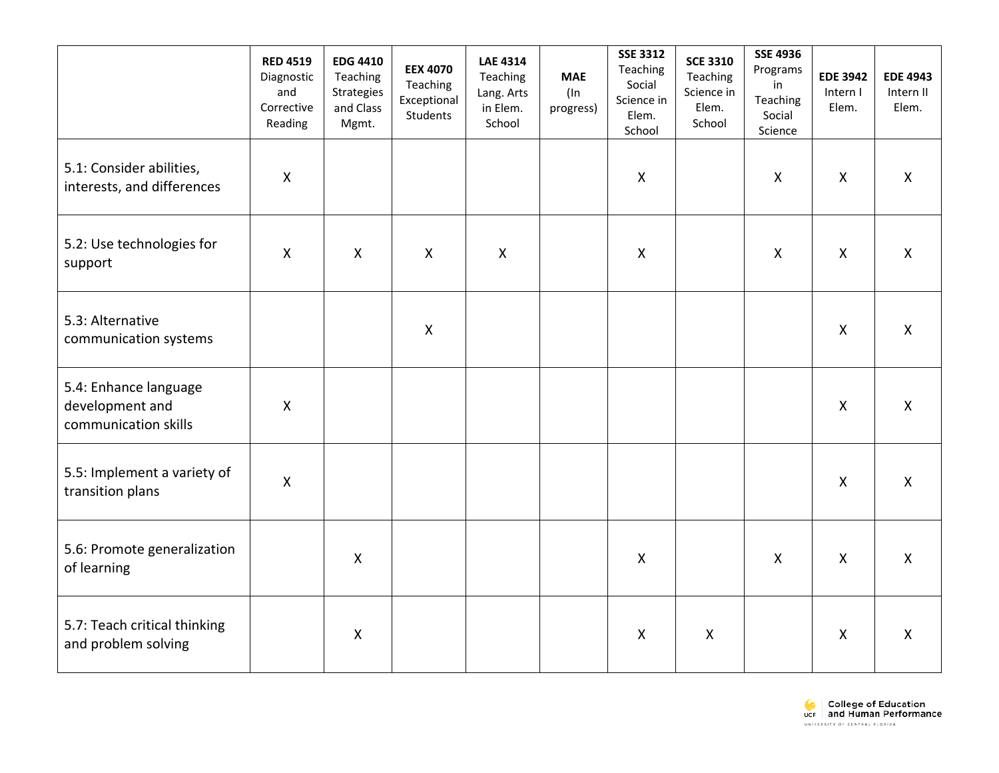|                                                                  | <b>RED 4519</b><br>Diagnostic<br>and<br>Corrective<br>Reading | <b>EDG 4410</b><br>Teaching<br>Strategies<br>and Class<br>Mgmt. | <b>EEX 4070</b><br>Teaching<br>Exceptional<br>Students | <b>LAE 4314</b><br>Teaching<br>Lang. Arts<br>in Elem.<br>School | <b>MAE</b><br>(In<br>progress) | <b>SSE 3312</b><br>Teaching<br>Social<br>Science in<br>Elem.<br>School | <b>SCE 3310</b><br>Teaching<br>Science in<br>Elem.<br>School | <b>SSE 4936</b><br>Programs<br>in<br>Teaching<br>Social<br>Science | <b>EDE 3942</b><br>Intern I<br>Elem. | <b>EDE 4943</b><br>Intern II<br>Elem. |
|------------------------------------------------------------------|---------------------------------------------------------------|-----------------------------------------------------------------|--------------------------------------------------------|-----------------------------------------------------------------|--------------------------------|------------------------------------------------------------------------|--------------------------------------------------------------|--------------------------------------------------------------------|--------------------------------------|---------------------------------------|
| 5.1: Consider abilities,<br>interests, and differences           | $\pmb{\mathsf{X}}$                                            |                                                                 |                                                        |                                                                 |                                | $\mathsf{X}$                                                           |                                                              | $\boldsymbol{X}$                                                   | $\pmb{\times}$                       | $\mathsf{X}$                          |
| 5.2: Use technologies for<br>support                             | $\mathsf{X}$                                                  | $\mathsf{X}$                                                    | $\mathsf{X}$                                           | $\boldsymbol{\mathsf{X}}$                                       |                                | $\mathsf{X}$                                                           |                                                              | $\mathsf{X}$                                                       | $\boldsymbol{X}$                     | $\mathsf{X}$                          |
| 5.3: Alternative<br>communication systems                        |                                                               |                                                                 | $\boldsymbol{X}$                                       |                                                                 |                                |                                                                        |                                                              |                                                                    | $\mathsf{X}$                         | $\mathsf{X}$                          |
| 5.4: Enhance language<br>development and<br>communication skills | $\pmb{\mathsf{X}}$                                            |                                                                 |                                                        |                                                                 |                                |                                                                        |                                                              |                                                                    | $\mathsf{X}$                         | $\mathsf{X}$                          |
| 5.5: Implement a variety of<br>transition plans                  | $\mathsf{X}$                                                  |                                                                 |                                                        |                                                                 |                                |                                                                        |                                                              |                                                                    | $\boldsymbol{\mathsf{X}}$            | $\mathsf{X}$                          |
| 5.6: Promote generalization<br>of learning                       |                                                               | X                                                               |                                                        |                                                                 |                                | $\mathsf{X}$                                                           |                                                              | $\mathsf{X}$                                                       | $\boldsymbol{\mathsf{X}}$            | $\mathsf{X}$                          |
| 5.7: Teach critical thinking<br>and problem solving              |                                                               | $\mathsf{X}$                                                    |                                                        |                                                                 |                                | $\mathsf{X}$                                                           | $\mathsf{X}$                                                 |                                                                    | $\boldsymbol{\mathsf{X}}$            | $\mathsf{X}$                          |

College of Education<br>UCF and Human Performance UNIVERSITY OF CENTRAL FLORIDA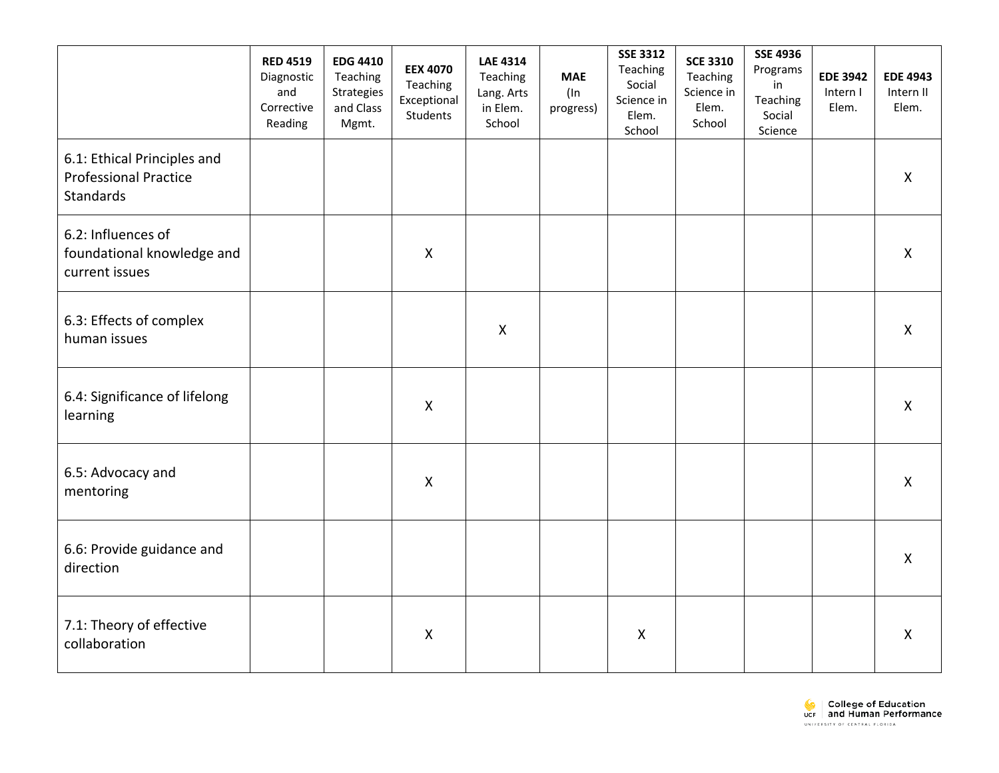|                                                                                 | <b>RED 4519</b><br>Diagnostic<br>and<br>Corrective<br>Reading | <b>EDG 4410</b><br>Teaching<br>Strategies<br>and Class<br>Mgmt. | <b>EEX 4070</b><br>Teaching<br>Exceptional<br>Students | <b>LAE 4314</b><br>Teaching<br>Lang. Arts<br>in Elem.<br>School | <b>MAE</b><br>$($ ln<br>progress) | <b>SSE 3312</b><br>Teaching<br>Social<br>Science in<br>Elem.<br>School | <b>SCE 3310</b><br>Teaching<br>Science in<br>Elem.<br>School | <b>SSE 4936</b><br>Programs<br>in<br>Teaching<br>Social<br>Science | <b>EDE 3942</b><br>Intern I<br>Elem. | <b>EDE 4943</b><br>Intern II<br>Elem. |
|---------------------------------------------------------------------------------|---------------------------------------------------------------|-----------------------------------------------------------------|--------------------------------------------------------|-----------------------------------------------------------------|-----------------------------------|------------------------------------------------------------------------|--------------------------------------------------------------|--------------------------------------------------------------------|--------------------------------------|---------------------------------------|
| 6.1: Ethical Principles and<br><b>Professional Practice</b><br><b>Standards</b> |                                                               |                                                                 |                                                        |                                                                 |                                   |                                                                        |                                                              |                                                                    |                                      | $\boldsymbol{\mathsf{X}}$             |
| 6.2: Influences of<br>foundational knowledge and<br>current issues              |                                                               |                                                                 | $\mathsf{X}$                                           |                                                                 |                                   |                                                                        |                                                              |                                                                    |                                      | $\mathsf{X}$                          |
| 6.3: Effects of complex<br>human issues                                         |                                                               |                                                                 |                                                        | $\boldsymbol{\mathsf{X}}$                                       |                                   |                                                                        |                                                              |                                                                    |                                      | $\boldsymbol{\mathsf{X}}$             |
| 6.4: Significance of lifelong<br>learning                                       |                                                               |                                                                 | $\mathsf{X}$                                           |                                                                 |                                   |                                                                        |                                                              |                                                                    |                                      | $\mathsf{X}$                          |
| 6.5: Advocacy and<br>mentoring                                                  |                                                               |                                                                 | $\boldsymbol{\mathsf{X}}$                              |                                                                 |                                   |                                                                        |                                                              |                                                                    |                                      | $\mathsf{X}$                          |
| 6.6: Provide guidance and<br>direction                                          |                                                               |                                                                 |                                                        |                                                                 |                                   |                                                                        |                                                              |                                                                    |                                      | $\mathsf{X}$                          |
| 7.1: Theory of effective<br>collaboration                                       |                                                               |                                                                 | $\pmb{\mathsf{X}}$                                     |                                                                 |                                   | $\mathsf{X}$                                                           |                                                              |                                                                    |                                      | $\boldsymbol{\mathsf{X}}$             |

College of Education<br>UCF and Human Performance UNIVERSITY OF CENTRAL FLORIDA